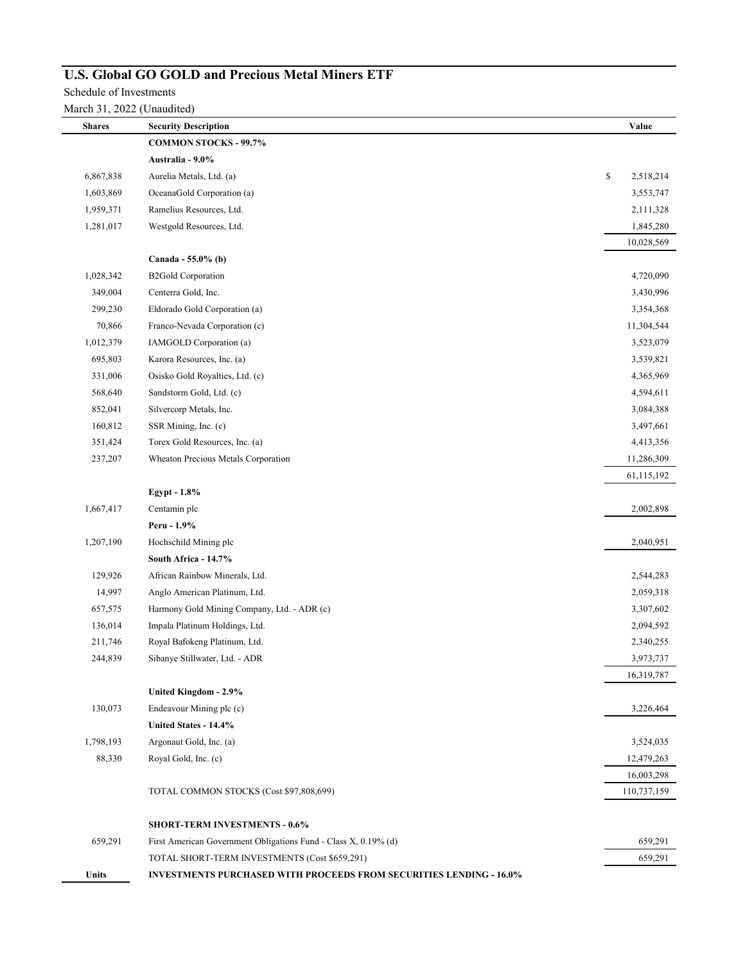## **U.S. Global GO GOLD and Precious Metal Miners ETF**

Schedule of Investments

| <b>Shares</b> | <b>Security Description</b>                                                | Value           |
|---------------|----------------------------------------------------------------------------|-----------------|
|               | <b>COMMON STOCKS - 99.7%</b>                                               |                 |
|               | Australia - 9.0%                                                           |                 |
| 6,867,838     | Aurelia Metals, Ltd. (a)                                                   | \$<br>2,518,214 |
| 1,603,869     | OceanaGold Corporation (a)                                                 | 3,553,747       |
| 1,959,371     | Ramelius Resources, Ltd.                                                   | 2,111,328       |
| 1,281,017     | Westgold Resources, Ltd.                                                   | 1,845,280       |
|               |                                                                            | 10,028,569      |
|               | Canada - 55.0% (b)                                                         |                 |
| 1,028,342     | <b>B2Gold Corporation</b>                                                  | 4,720,090       |
| 349,004       | Centerra Gold, Inc.                                                        | 3,430,996       |
| 299,230       | Eldorado Gold Corporation (a)                                              | 3,354,368       |
| 70,866        | Franco-Nevada Corporation (c)                                              | 11,304,544      |
| 1,012,379     | IAMGOLD Corporation (a)                                                    | 3,523,079       |
| 695,803       | Karora Resources, Inc. (a)                                                 | 3,539,821       |
| 331,006       | Osisko Gold Royalties, Ltd. (c)                                            | 4,365,969       |
| 568,640       | Sandstorm Gold, Ltd. (c)                                                   | 4,594,611       |
| 852,041       | Silvercorp Metals, Inc.                                                    | 3,084,388       |
| 160,812       | SSR Mining, Inc. (c)                                                       | 3,497,661       |
| 351,424       | Torex Gold Resources, Inc. (a)                                             | 4,413,356       |
| 237,207       | Wheaton Precious Metals Corporation                                        | 11,286,309      |
|               |                                                                            | 61,115,192      |
|               | Egypt - 1.8%                                                               |                 |
| 1,667,417     | Centamin plc                                                               | 2,002,898       |
|               | Peru - 1.9%                                                                |                 |
| 1,207,190     | Hochschild Mining plc                                                      | 2,040,951       |
|               | South Africa - 14.7%                                                       |                 |
| 129,926       | African Rainbow Minerals, Ltd.                                             | 2,544,283       |
| 14,997        | Anglo American Platinum, Ltd.                                              | 2,059,318       |
| 657,575       | Harmony Gold Mining Company, Ltd. - ADR (c)                                | 3,307,602       |
| 136,014       | Impala Platinum Holdings, Ltd.                                             | 2,094,592       |
| 211,746       | Royal Bafokeng Platinum, Ltd.                                              | 2,340,255       |
| 244,839       | Sibanye Stillwater, Ltd. - ADR                                             | 3,973,737       |
|               |                                                                            | 16,319,787      |
|               | United Kingdom - 2.9%                                                      |                 |
| 130,073       | Endeavour Mining plc (c)                                                   | 3,226,464       |
|               | United States - 14.4%                                                      |                 |
| 1,798,193     | Argonaut Gold, Inc. (a)                                                    | 3,524,035       |
| 88,330        | Royal Gold, Inc. (c)                                                       | 12,479,263      |
|               |                                                                            | 16,003,298      |
|               | TOTAL COMMON STOCKS (Cost \$97,808,699)                                    | 110,737,159     |
|               | <b>SHORT-TERM INVESTMENTS - 0.6%</b>                                       |                 |
| 659,291       | First American Government Obligations Fund - Class X, 0.19% (d)            | 659,291         |
|               | TOTAL SHORT-TERM INVESTMENTS (Cost \$659,291)                              | 659,291         |
| Units         | <b>INVESTMENTS PURCHASED WITH PROCEEDS FROM SECURITIES LENDING - 16.0%</b> |                 |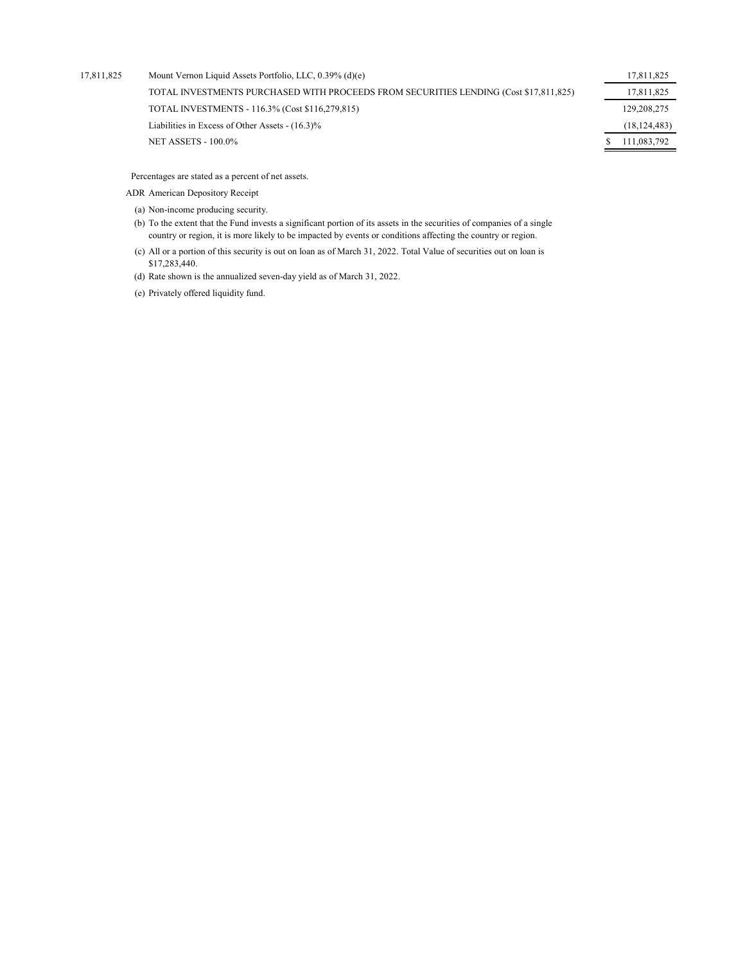| 17,811,825 | Mount Vernon Liquid Assets Portfolio, LLC, 0.39% (d)(e)                               | 17,811,825     |
|------------|---------------------------------------------------------------------------------------|----------------|
|            | TOTAL INVESTMENTS PURCHASED WITH PROCEEDS FROM SECURITIES LENDING (Cost \$17,811,825) | 17,811,825     |
|            | TOTAL INVESTMENTS - 116.3% (Cost \$116,279,815)                                       | 129, 208, 275  |
|            | Liabilities in Excess of Other Assets - (16.3)%                                       | (18, 124, 483) |
|            | <b>NET ASSETS - 100.0%</b>                                                            | 111,083,792    |
|            |                                                                                       |                |

Percentages are stated as a percent of net assets.

- ADR American Depository Receipt
	- (a) Non-income producing security.
	- (b) To the extent that the Fund invests a significant portion of its assets in the securities of companies of a single country or region, it is more likely to be impacted by events or conditions affecting the country or region.
	- (c) All or a portion of this security is out on loan as of March 31, 2022. Total Value of securities out on loan is \$17,283,440.
	- (d) Rate shown is the annualized seven-day yield as of March 31, 2022.
	- (e) Privately offered liquidity fund.